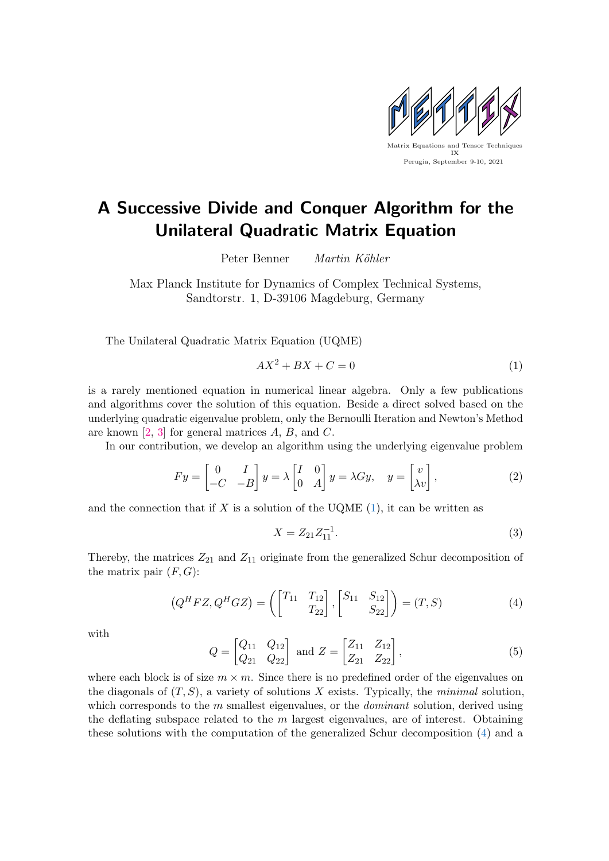

## A Successive Divide and Conquer Algorithm for the Unilateral Quadratic Matrix Equation

Peter Benner Martin Köhler

Max Planck Institute for Dynamics of Complex Technical Systems, Sandtorstr. 1, D-39106 Magdeburg, Germany

The Unilateral Quadratic Matrix Equation (UQME)

<span id="page-0-0"></span>
$$
AX^2 + BX + C = 0\tag{1}
$$

is a rarely mentioned equation in numerical linear algebra. Only a few publications and algorithms cover the solution of this equation. Beside a direct solved based on the underlying quadratic eigenvalue problem, only the Bernoulli Iteration and Newton's Method are known [\[2,](#page-1-0) [3\]](#page-1-1) for general matrices A, B, and C.

In our contribution, we develop an algorithm using the underlying eigenvalue problem

$$
Fy = \begin{bmatrix} 0 & I \\ -C & -B \end{bmatrix} y = \lambda \begin{bmatrix} I & 0 \\ 0 & A \end{bmatrix} y = \lambda Gy, \quad y = \begin{bmatrix} v \\ \lambda v \end{bmatrix},
$$
 (2)

and the connection that if  $X$  is a solution of the UQME  $(1)$ , it can be written as

$$
X = Z_{21} Z_{11}^{-1}.
$$
 (3)

Thereby, the matrices  $Z_{21}$  and  $Z_{11}$  originate from the generalized Schur decomposition of the matrix pair  $(F, G)$ :

<span id="page-0-1"></span>
$$
(QH FZ, QH GZ) = \left( \begin{bmatrix} T_{11} & T_{12} \\ T_{22} \end{bmatrix}, \begin{bmatrix} S_{11} & S_{12} \\ S_{22} \end{bmatrix} \right) = (T, S)
$$
(4)

with

<span id="page-0-2"></span>
$$
Q = \begin{bmatrix} Q_{11} & Q_{12} \\ Q_{21} & Q_{22} \end{bmatrix} \text{ and } Z = \begin{bmatrix} Z_{11} & Z_{12} \\ Z_{21} & Z_{22} \end{bmatrix},
$$
 (5)

where each block is of size  $m \times m$ . Since there is no predefined order of the eigenvalues on the diagonals of  $(T, S)$ , a variety of solutions X exists. Typically, the minimal solution, which corresponds to the  $m$  smallest eigenvalues, or the *dominant* solution, derived using the deflating subspace related to the  $m$  largest eigenvalues, are of interest. Obtaining these solutions with the computation of the generalized Schur decomposition [\(4\)](#page-0-1) and a